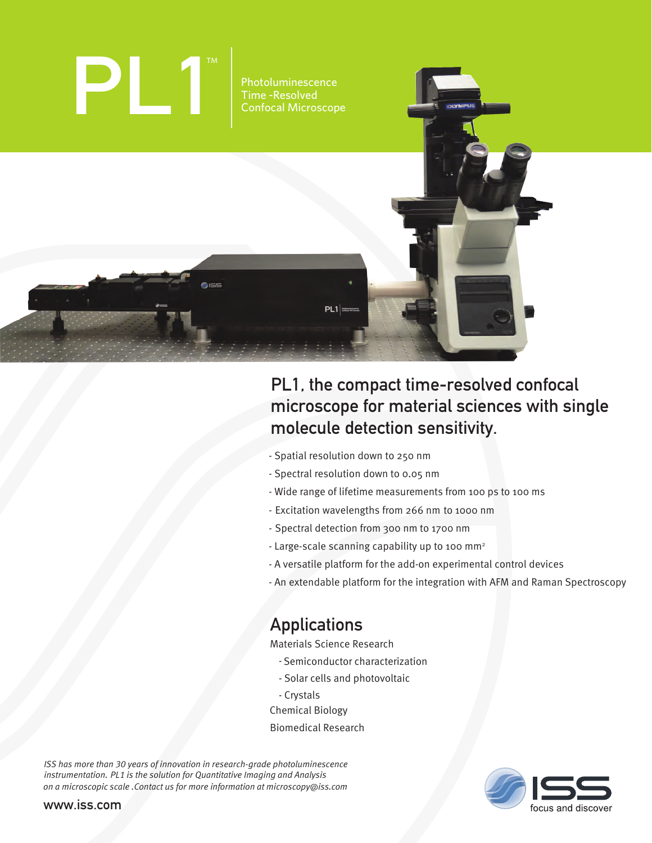

# PL1, the compact time-resolved confocal microscope for material sciences with single molecule detection sensitivity.

- Spatial resolution down to 250 nm
- Spectral resolution down to 0.05 nm
- Wide range of lifetime measurements from 100 ps to 100 ms
- Excitation wavelengths from 266 nm to 1000 nm
- Spectral detection from 300 nm to 1700 nm
- Large-scale scanning capability up to 100 mm<sup>2</sup>
- A versatile platform for the add-on experimental control devices
- An extendable platform for the integration with AFM and Raman Spectroscopy

# Applications

Materials Science Research

- Semiconductor characterization
- Solar cells and photovoltaic
- Crystals
- Chemical Biology
- Biomedical Research

*ISS has more than 30 years of innovation in research-grade photoluminescence instrumentation. PL1 is the solution for Quantitative Imaging and Analysis on a microscopic scale .Contact us for more information at microscopy@iss.com* 



www.iss.com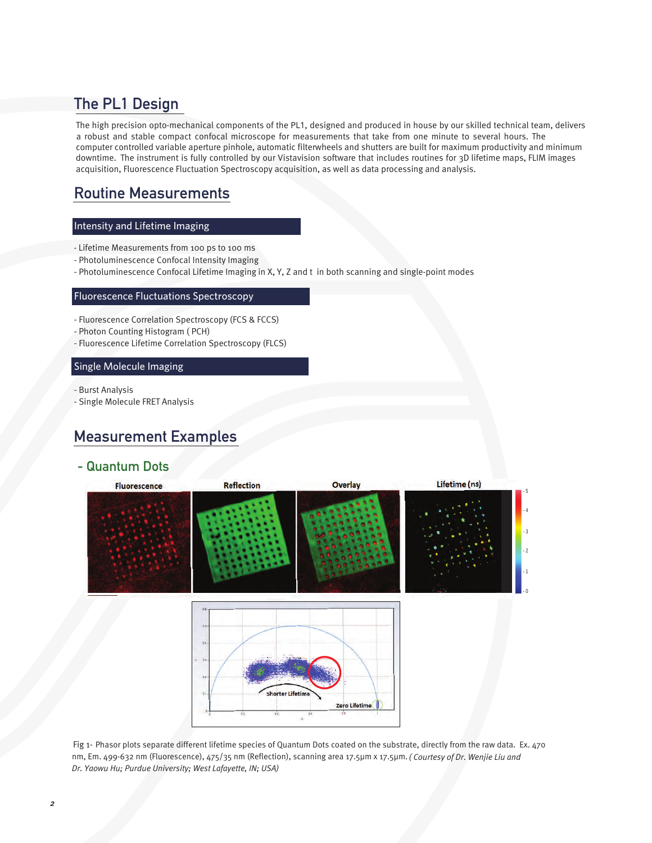## The PL1 Design

The high precision opto-mechanical components of the PL1, designed and produced in house by our skilled technical team, delivers a robust and stable compact confocal microscope for measurements that take from one minute to several hours. The computer controlled variable aperture pinhole, automatic filterwheels and shutters are built for maximum productivity and minimum downtime. The instrument is fully controlled by our Vistavision software that includes routines for 3D lifetime maps, FLIM images acquisition, Fluorescence Fluctuation Spectroscopy acquisition, as well as data processing and analysis.

## Routine Measurements

#### Intensity and Lifetime Imaging

- Lifetime Measurements from 100 ps to 100 ms
- Photoluminescence Confocal Intensity Imaging
- Photoluminescence Confocal Lifetime Imaging in X, Y, Z and t in both scanning and single-point modes

#### Fluorescence Fluctuations Spectroscopy

- Fluorescence Correlation Spectroscopy (FCS & FCCS)
- Photon Counting Histogram ( PCH)
- Fluorescence Lifetime Correlation Spectroscopy (FLCS)

#### Single Molecule Imaging

- Burst Analysis
- Single Molecule FRET Analysis

## Measurement Examples

### - Quantum Dots



Fig 1- Phasor plots separate different lifetime species of Quantum Dots coated on the substrate, directly from the raw data. Ex. 470 nm, Em. 499-632 nm (Fluorescence), 475/35 nm (Reflection), scanning area 17.5µm x 17.5µm. *( Courtesy of Dr. Wenjie Liu and Dr. Yaowu Hu; Purdue University; West Lafayette, IN; USA)*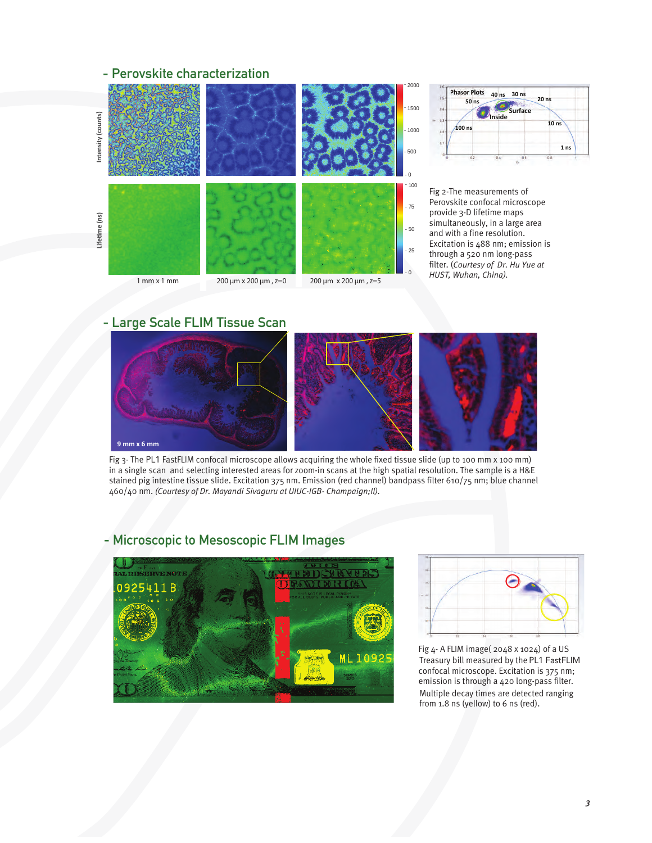## - Perovskite characterization





Fig 2-The measurements of Perovskite confocal microscope provide 3-D lifetime maps simultaneously, in a large area and with a fine resolution. Excitation is 488 nm; emission is through a 520 nm long-pass filter. (*Courtesy of Dr. Hu Yue at HUST, Wuhan, China).* 

## - Large Scale FLIM Tissue Scan



Fig 3- The PL1 FastFLIM confocal microscope allows acquiring the whole fixed tissue slide (up to 100 mm x 100 mm) in a single scan and selecting interested areas for zoom-in scans at the high spatial resolution. The sample is a H&E stained pig intestine tissue slide. Excitation 375 nm. Emission (red channel) bandpass filter 610/75 nm; blue channel 460/40 nm. *(Courtesy of Dr. Mayandi Sivaguru at UIUC-IGB- Champaign;Il).* 

# **ADRICAL** 25411E **LEGAL TENDER ML10925**



Fig 4- A FLIM image( 2048 x 1024) of a US Treasury bill measured by the PL1 FastFLIM confocal microscope. Excitation is 375 nm; emission is through a 420 long-pass filter. Multiple decay times are detected ranging from 1.8 ns (yellow) to 6 ns (red).

## - Microscopic to Mesoscopic FLIM Images